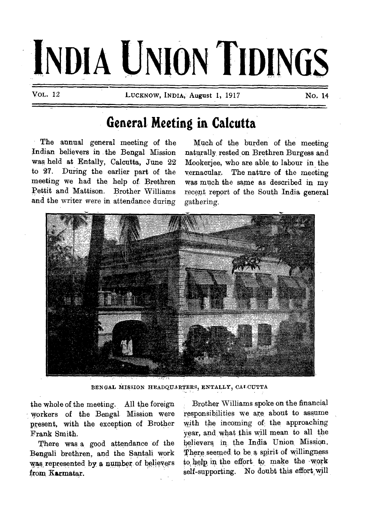# **INDIA UNION TIDINGS**

VoL. 12 LUCKNOW, INDIA, August 1, 1917 No, 14

# **General Meeting in Calcutta**

The annual general meeting of the Indian believers in the Bengal. Mission was held at Entally, Calcutta, June 22 to 27. During the earlier part of the meeting we had the help of. Brethren Pettit and Mattison. Brother Williams and the writer were in attendance during

Much of the burden of the meeting naturally\_ rested, on Brethren Burgess and Mookerjee, who are able, to labour in the vernacular. The nature of the meeting was much the same as described in my recent report of the South India general gathering.



BENGAL MISSION HEADQUARTERS, ENTALLY, CALCUTTA

the whole of the meeting. All the foreign workers of the Bengal Mission were present, with the exception of Brother Frank Smith.

There was a good attendance of the Bengali brethren, and the Santali work was represented by a number of believers from Karmatar.

Brother Williams spoke on the financial responsibilities we are about to assume with the incoming of the approaching year, and, what this will mean to all the believers;in, the India Union Mission. There seemed, to be a spirit of willingness to, help in the effort to make the -work self-supporting. No doubt this effort will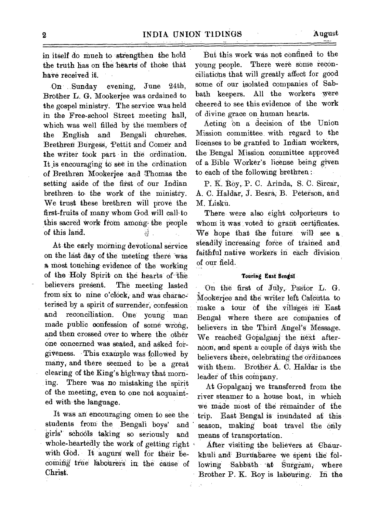-On ..Sunday evening,. June 24th, Brother L. G. Mookerjee was ordained to the gospel ministry. The service was held in the Free-school Street meeting hall, which was well filled by the. members of the English and Bengali churches. Brethren Burgess, Pettit and Comer and the writer took part in the ordination. It is encouraging to see in the ordination of Brethren Mooketjee 'and Thomas the setting aside of the first of Our Indian brethren to the work of the ministry. We trust these brethren will prove the first-fruits of many whom God. will call-to this sacred work from among the people of this land.  $\mathfrak{F}^{\mathbb{C}}$ 

At the early morning devotional service on the last day of the meeting there was A most touching: evidence of the working of the Holy Spirit on the hearts of the believers present. The meeting lasted The meeting lasted from six to nine o'clock, and was characterised by a spirit of surrender, confession and reconciliation. One young man made public confession of some wrong, and then crossed over to Where the other one concerned was seated, and agked forgiveness. This example was followed by many, and there seemed to be a great clearing of the King's highway that morning. There was no mistaking the spirit of the meeting, even to one not acquainted with the language.

It was an encouraging omen to see the students from the Bengali boys' and girls' schools taking so seriously and whole-heartedly the work of getting right with God. It augurs well for their becoming true labourers in the cause of Christ.

But this work was not confined to the young people. There were some reconciliations that will greatly affect for good some of our isolated companies of Sabbath keepers. All the workers were cheered to see this evidence of the work of divine grace on human hearts.

Acting on a decision of the Union Mission committee. with. regard to the licenses to be granted to Indian workers, the Bengal Mission committee approved of a Bible Worker's license being given to each of the following brethren :.

P. K. Roy, P. C. Arinda, S. C. Sircar, A. C. Haldar, J. Begra; B. Peterson, and M. Lisku.

There were also eight colporteurs to whom it was voted to grant certificates. We hope that the future will see a steadily increasing force of trained and faithful native workers in each division of our field.

#### **Touring East Bengal**

On the first of July, Pastor L. G. 14Ookeriee and the writer left Calcutta to make a tour of the villages in East Bengal where there are companies of believers in the Third Angel's Message. We reached Gopalganj the next afternoon, and spent a couple of days with the believers there; celebrating the ordinances with them. Brother  $A$ . C. Haldar is the leader of this company.

At Gopalganj we transferred from the river steamer to a house boat, in which We made Most of the remainder of the trip. East Bengal is inundated at this season, making boat travel the only means of transportation.

After visiting the believers at Chaurkhuli and Buruabaree we spent the following Sabbath at Surgram, where Brother P. K. Roy is labouring. In the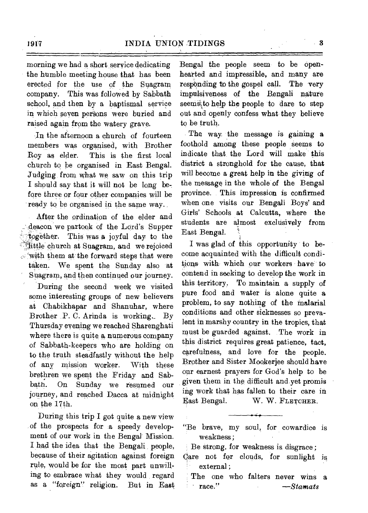morning we had a short service dedicating the humble meeting house that has been erected for the use of the Suagram company. This was followed by Sabbath school, and then by a baptismal service in which seven persons were buried and raised again from the watery grave.

In the afternoon a church of fourteen members was organised, with Brother Roy as elder. This is the first local church to be organised in East Bengal. Judging from what we saw on this trip I should say that it will not be long before three or four other companies will be ready to be organised in the same way.

After the ordination of the elder and ,deacon we partook of the Lord's Supper together. This was a joyful day to the **ittle church at Suagram, and we rejoiced**  $t$  with them at the forward steps that were taken. We spent the Sunday also at Suagram, and then continued our journey. During the second week we visited some interesting groups of new believers at Chabikhapar and Shanuhar, where Brother P. C. Arinda is working\_ By Thursday evening we reached Sharenghati where there is quite a numerous company of Sabbath-keepers who are holding on to the truth steadfastly without the help of any mission worker. With these brethren we spent the Friday and Sabbath. On Sunday we resumed our journey, and reached Dacca at midnight on the 17th.

During this trip I got quite a new view of the prospects for a speedy development of our work in the Bengal Mission. I had the idea that the Bengali people, because of their agitation against foreign rule, would be for the most part unwilling to embrace what they would regard as a "foreign" religion. But in East

Bengal the people seem to be openhearted and impressible, and many are responding to the gospel call. The very impulsiveness of the Bengali nature seems to help the people to dare to step out and openly confess what they believe to be truth.

The way the message is gaining a foothold among these people seems to indicate that the Lord will make this district a stronghold for the cause, that will become a great help in the giving of the message in the whole of the Bengal province. This impression is confirmed when one visits our Bengali Boys' and Girls' Schools at Calcutta, where the students are almost exclusively from East Bengal.

I was glad of this opportunity to become acquainted with the difficult conditions with which our workers have to contend in seeking to develop the work in this territory. To maintain a supply of pure food and water is alone quite a problem, to say nothing of the malarial conditions and other sicknesses so prevalent in marshy country in the tropics, that must be guarded against. The work in this district requires great patience, tact, carefulness, and love for the people. Brother and Sister Mookerjee should have our earnest prayers for God's help to be given them in the difficult and yet promis ing work that has fallen to their care in East Bengal. W. W. FLETCHER.

"Be brave, my soul, for cowardice is weakness ;

Be strong, for weakness is disgrace ;

The one who falters never wins a • race." *—Stamats* 

Care not for clouds, for sunlight is external ;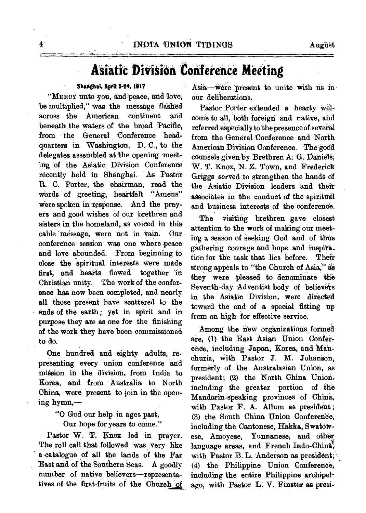# **Asiatic Division Conference Meeting**

### **Shaighti,** April **5-24; 1917**

"MERCY unto you, and peace, and love, be multiplied," was the message flashed' across the American continent and beneath the waters of the broad Pacific, from the General Conference headquarters in Washington, D. C., to the delegates assembled at the opening meeting of the Asiatic Division Conference recently held in Shanghai. As Pastor R. C. Porter; the chairman, read the words of greeting, heartfelt "Amens" were spoken in response. And the prayers and good wishes of our brethren and sisters in the homeland, as voiced in this cable message, were not in vain. Our conference session was one where peace and love abounded. From beginning to close the spiritual interests were made first, and hearts flowed together in Christian unity. The work of the conference has now been completed, and nearly all those present have scattered to the ends of the earth ; yet in spirit and in purpose they are as one for the finishing of the work they have been commissioned to do.

One hundred and eighty adults, representing every union conference and mission in the division, from India to Korea, and from Australia to North China, were 'present to join in the opening hymn,—

"0 God our help in ages past,

Our hope for years to come."

Pastor W. T. Knox led in prayer. The roll call that followed was very like a catalogue of all the lands of the Far East and of the Southern Seas. A goodly number of native believers—representatives of the first-fruits of the Church of

Asia—were present to unite with us in. our deliberations.

Pastor Porter extended a hearty welcone to all, both 'foreign and native, and referred especially to the presence of several from the General Conference and North American Division Conference. The good counsels given by Brethren A. G. Daniels; W. T. Knox, N. Z. Town, and Frederick Griggs served to strengthen the hands of the Asiatic Division leaders and their associates in the conduct of the spiritual and business interests of the conference.

The visiting brethren gave closest attention to the work of making our meeting a season of seeking God and of thus gathering courage and hope and inspiration for the task that lies before. Their strong appeals to "the Church of Asia," as they were pleased to denominate the Seventh-day Adventist body of believers in the Asiatic Division, were directed toward the end of a special fitting up from on high for effective service.

Among the new organizations formed. are, (1) the East Asian Union Conference, including Japan, Korea, and Manchuria, with Pastor J. M. Johan'son, formerly of the Australasian Union, as president; (2) the North China Union, including the greater portion of the Mandarin-speaking provinces of China, with Pastor F. A. Allum as president ; (3) the South China Union Conference, including the Cantonese, Hakka, Swatowese, Amoyese, Yunnanese, and other language areas, and French Indo-China, with Pastor B. L. Anderson as president; (4) the Philippine Union Conference; including the entire Philippine archipelago, with Pastor L. V. Finster as presi-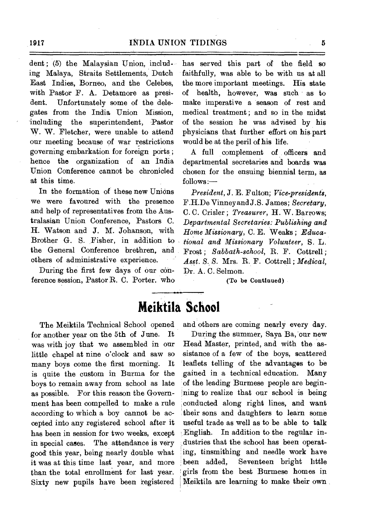dent; (5) the Malaysian Union, including Malaya, Straits Settlements, Dutch East Indies, Borneo, and the Celebes, with Pastor F. A. Detamore as president. Unfortunately some of the delegates from the India Union Mission, including the superintendent, Pastor W. W. Fletcher, were unable to attend our meeting because of war restrictions governing embarkation for foreign ports ; hence the organization of an India Union Conference cannot be chronicled at this time.

In the formation of these new Unions we were favoured with the presence and help of representatives from the Australasian Union Conference, Pastors C. H. Watson and J. M. Johanson, with Brother G. S. Fisher, in addition to the General Conference brethren, and others of administrative experience.

During the first few days of our conference session, Pastor R. C. Porter. who

The Meiktila Technical School opened for another year on the 5th of June. It was with joy that we assembled in our little chapel at nine o'clock and saw so many boys come the first morning. It is quite the custom in Burma for the boys to remain away from school as late as possible. For this reason the Government has been compelled to make a rule according to which a boy cannot be accepted into any registered school after it has been in session for two weeks, except in special cases. The attendance is very good this year, being nearly double what it was at this time last year, and more than the total enrollment for last year. Sixty new pupils have been registered

has served this part of the field so faithfully, was able to be with us at all the more important meetings. His state of health, however, was such as to make imperative a season of rest and medical treatment ; and so in the midst of the session he was advised by his physicians that further effort on his part would be at the peril of his life.

A full complement of officers and departmental secretaries and boards was chosen for the ensuing biennial term, as *follows:—* 

*President,* J. E. Fulton; *Vice-presidents,*  F.H.De Vinney and J. S. James; *Secretary,*  C. C. Crisler ; *Treasurer,* H. W. Barrows; *Departmental Secretaries: Publishing and Home Missionary,* C. E. Weaks ; *Educational and Missionary Volunteer,* S. L. Frost ; *Sabbath-school,* R. F. Cottrell ; *Asst. S. S.* Mrs. R. F. Cottrell ; *Medical,*  Dr. A. C. Selmon.

(To be Continued)

## **Meiktila School**

and others are coming nearly every day.

During the summer, Saya Ba, 'our new Head Master, printed, and with the assistance of a few of the boys, scattered leaflets telling of the advantages to be gained in a technical education. Many of the leading Burmese people are begin- , ning to realize that our school is being conducted along right lines, and want their sons and daughters to learn some useful trade as well as to be able to talk English. In addition to the regular industries that the school has been operating, tinsmithing and needle work have been added, Seventeen bright little girls from the best Burmese homes in Meiktila are learning to make their own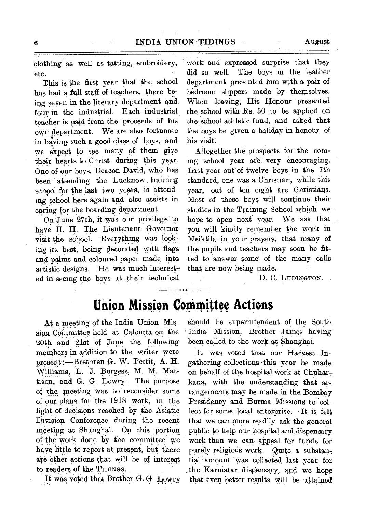clothing as well as tatting, embroidery, etc.

This is the first year that the school has had a full staff of teachers, there be, ing seven in the literary department and four in the industrial. Each industrial teacher is paid from the proceeds of his own department. We are also fortunate in having such a good class of boys, and we expect to see many of them give their hearts to Christ during this year. One of our boys, Deacon David, who has been attending the Lucknow training school for the last two years, is attending school here again and also assists in caring for the boarding department.

On June 27th, it was our privilege to have H. H. The Lieutenant Governor visit the school. Everything was looking its best, being decorated with flags, and palms and coloured paper made into artistic designs. He was much interested in seeing the boys at their technical work and expressod surprise that they did so well. The boys in the leather department presented him with a pair of bedroom slippers made by themselves. When leaving, His Honour presented the school with Rs. 50 to be applied on the school athletic fund, and asked that the boys be given a holiday in honour of his visit.

Altogether the prospects for the coming school year are very encouraging. Last year out of twelve boys in the 7th standard, one was a Christian, while this year, out of ten eight are Christians. Most of these boys will continue their studies in the Training School which we hope to open next year. We ask that you will kindly remember the work in Meiktila in your prayers, that many of the pupils and teachers may soon be fitted to answer some of the many calls that are now being made.

D. C. LUDINGTON.

## **Union Mission Committee Actions**

At a meeting of the India Union Mission Committee held at Calcutta on the 20th and 21st of June the following members in addition to the writer were present :- Brethren G. W. Pettit, A. H. Williams, L. J. Burgess, M. M. Mattison, and G. G. Lowry. The purpose of the meeting was to reconsider some of our plans for the 1918 work, in the light of deeisions reached by the Asiatic Division Conference during the recent meeting at Shanghai. On this portion of the work done by the committee we have little to report at present, but there are other actions that will be of interest to readers of the TIDINGS.

It WAS voted-that Brother G. G. Lowry

should be superintendent of the South India Mission, Brother James having been called to the work at Shanghai.

It was voted that our Harvest Ingathering collections this year be made on behalf of the hospital work at Chaharkana, with the understanding that arrangements may be made in the Bombay Presidency and Burma Missions to collect for some local enterprise. It is felt that we can more readily ask the general public to help our hospital and, dispensary work than we can appeal fox funds for purely religious work. Quite a substantial amount was collected last year for the Karmatar dispensary, and we hope that even better results will be attained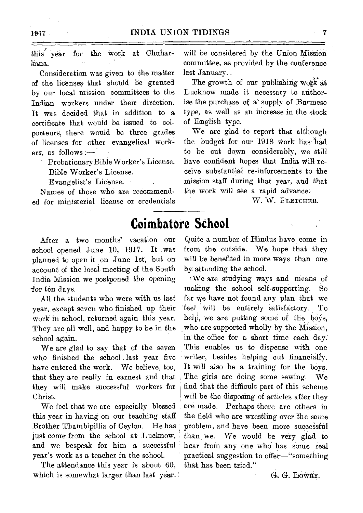this year for the work at Chuharkana.

Consideration was given to the matter of the licenses that should be granted by our local mission committees to the Indian workers under their direction. It was decided that in addition to a certificate that would be issued to colporteurs, there would be three grades of licenses for other evangelical workers, as follows :-

Probationary Bible Worker's License.

Bible Worker's License.

Evangelist's License.

Names of those who are recommended for ministerial license or credentials

After a two months' vacation our school opened June 10, 1917, It was planned to open it on June 1st, but on account of the local meeting of the South India Mission we postponed the opening for ten days.

All the students who were with us last year, except seven wbo finished up their work in school, returned again this year. They are all well, and happy to be in the school again.

We are glad to say that of the seven who finished the school last year five have entered the work. We believe, too, that they are really in earnest and that they will make successful workers for Christ.

We feel that we are especially blessed this year in having on our teaching staff Brother Thambipillia of Ceylon. He has just come from the school at Lucknow, and we bespeak for him a successful year's work as a teacher in the school.

The attendance this year is about 60, which is somewhat larger than last year.

will be considered by the Union Mission committee, as provided by the conference last January..

The growth of our publishing work at Lucknow made it necessary to authorise the purchase of a supply of Burmese type, as well as an increase in the stock of English type.

We are glad to report that although the budget for our 1918 work has' had to be cut down considerably, we still have confident hopes that India will receive substantial re-inforcements to the mission staff during that year, and that the work will see a rapid advance.

W. W. FLETCHER.

## **Coimbatore School**

Quite a number of Hindus have come in from the outside. We hope that they will be benefited in more ways than one by attending the school.

'We are studying ways and means of making the school self-supporting. So far we have not found any plan that we feel will be entirely satisfactory. To help, we are putting some of the boys, who are supported wholly by the Mission, in the office for a short time each day: This enables us to dispense with one writer, besides helping out financially. It will also be a training for the boys. The girls are doing some sewing. We find that the difficult part of this scheme will be the disposing of articles after they are made. Perhaps there are others in the field who are wrestling over the same problem, and have been more successful than we. We would be very glad to hear from any one who has some real practical suggestion to offer—"something that has been tried."

G. G. LOWRY.